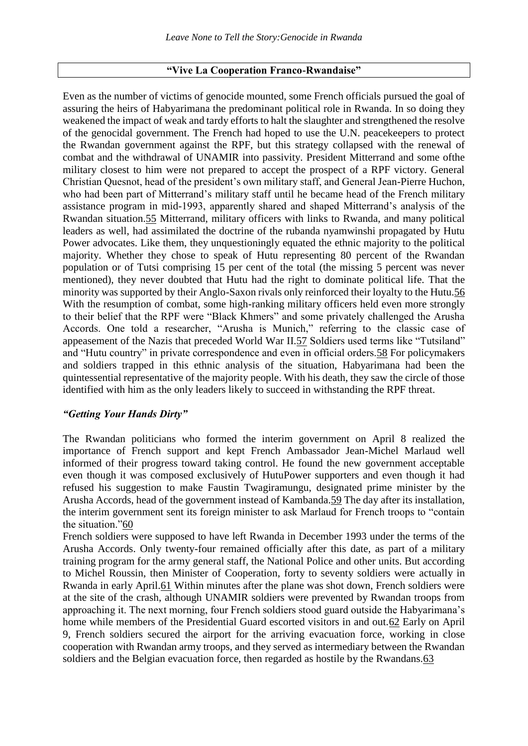## **"Vive La Cooperation Franco-Rwandaise"**

Even as the number of victims of genocide mounted, some French officials pursued the goal of assuring the heirs of Habyarimana the predominant political role in Rwanda. In so doing they weakened the impact of weak and tardy efforts to halt the slaughter and strengthened the resolve of the genocidal government. The French had hoped to use the U.N. peacekeepers to protect the Rwandan government against the RPF, but this strategy collapsed with the renewal of combat and the withdrawal of UNAMIR into passivity. President Mitterrand and some ofthe military closest to him were not prepared to accept the prospect of a RPF victory. General Christian Quesnot, head of the president's own military staff, and General Jean-Pierre Huchon, who had been part of Mitterrand's military staff until he became head of the French military assistance program in mid-1993, apparently shared and shaped Mitterrand's analysis of the Rwandan situation[.55](https://www.hrw.org/reports/1999/rwanda/Geno15-8-02.htm#P440_142941) Mitterrand, military officers with links to Rwanda, and many political leaders as well, had assimilated the doctrine of the rubanda nyamwinshi propagated by Hutu Power advocates. Like them, they unquestioningly equated the ethnic majority to the political majority. Whether they chose to speak of Hutu representing 80 percent of the Rwandan population or of Tutsi comprising 15 per cent of the total (the missing 5 percent was never mentioned), they never doubted that Hutu had the right to dominate political life. That the minority was supported by their Anglo-Saxon rivals only reinforced their loyalty to the Hutu[.56](https://www.hrw.org/reports/1999/rwanda/Geno15-8-02.htm#P441_143711) With the resumption of combat, some high-ranking military officers held even more strongly to their belief that the RPF were "Black Khmers" and some privately challenged the Arusha Accords. One told a researcher, "Arusha is Munich," referring to the classic case of appeasement of the Nazis that preceded World War II[.57](https://www.hrw.org/reports/1999/rwanda/Geno15-8-02.htm#P442_144191) Soldiers used terms like "Tutsiland" and "Hutu country" in private correspondence and even in official orders[.58](https://www.hrw.org/reports/1999/rwanda/Geno15-8-02.htm#P443_144352) For policymakers and soldiers trapped in this ethnic analysis of the situation, Habyarimana had been the quintessential representative of the majority people. With his death, they saw the circle of those identified with him as the only leaders likely to succeed in withstanding the RPF threat.

## *"Getting Your Hands Dirty"*

The Rwandan politicians who formed the interim government on April 8 realized the importance of French support and kept French Ambassador Jean-Michel Marlaud well informed of their progress toward taking control. He found the new government acceptable even though it was composed exclusively of HutuPower supporters and even though it had refused his suggestion to make Faustin Twagiramungu, designated prime minister by the Arusha Accords, head of the government instead of Kambanda[.59](https://www.hrw.org/reports/1999/rwanda/Geno15-8-02.htm#P447_145254) The day after its installation, the interim government sent its foreign minister to ask Marlaud for French troops to "contain the situation.["60](https://www.hrw.org/reports/1999/rwanda/Geno15-8-02.htm#P448_145435)

French soldiers were supposed to have left Rwanda in December 1993 under the terms of the Arusha Accords. Only twenty-four remained officially after this date, as part of a military training program for the army general staff, the National Police and other units. But according to Michel Roussin, then Minister of Cooperation, forty to seventy soldiers were actually in Rwanda in early April[.61](https://www.hrw.org/reports/1999/rwanda/Geno15-8-02.htm#P450_145904) Within minutes after the plane was shot down, French soldiers were at the site of the crash, although UNAMIR soldiers were prevented by Rwandan troops from approaching it. The next morning, four French soldiers stood guard outside the Habyarimana's home while members of the Presidential Guard escorted visitors in and out[.62](https://www.hrw.org/reports/1999/rwanda/Geno15-8-02.htm#P451_146318) Early on April 9, French soldiers secured the airport for the arriving evacuation force, working in close cooperation with Rwandan army troops, and they served as intermediary between the Rwandan soldiers and the Belgian evacuation force, then regarded as hostile by the Rwandans[.63](https://www.hrw.org/reports/1999/rwanda/Geno15-8-02.htm#P452_146684)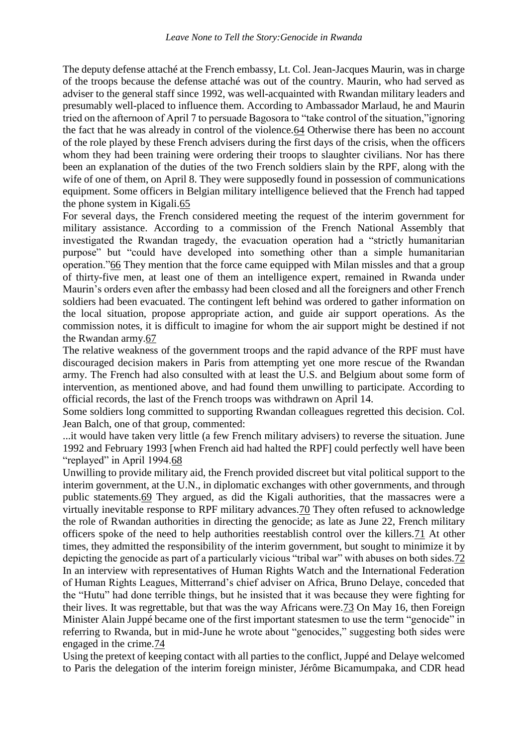The deputy defense attaché at the French embassy, Lt. Col. Jean-Jacques Maurin, was in charge of the troops because the defense attaché was out of the country. Maurin, who had served as adviser to the general staff since 1992, was well-acquainted with Rwandan military leaders and presumably well-placed to influence them. According to Ambassador Marlaud, he and Maurin tried on the afternoon of April 7 to persuade Bagosora to "take control of the situation,"ignoring the fact that he was already in control of the violence[.64](https://www.hrw.org/reports/1999/rwanda/Geno15-8-02.htm#P454_147301) Otherwise there has been no account of the role played by these French advisers during the first days of the crisis, when the officers whom they had been training were ordering their troops to slaughter civilians. Nor has there been an explanation of the duties of the two French soldiers slain by the RPF, along with the wife of one of them, on April 8. They were supposedly found in possession of communications equipment. Some officers in Belgian military intelligence believed that the French had tapped the phone system in Kigali[.65](https://www.hrw.org/reports/1999/rwanda/Geno15-8-02.htm#P455_147937)

For several days, the French considered meeting the request of the interim government for military assistance. According to a commission of the French National Assembly that investigated the Rwandan tragedy, the evacuation operation had a "strictly humanitarian purpose" but "could have developed into something other than a simple humanitarian operation.["66](https://www.hrw.org/reports/1999/rwanda/Geno15-8-02.htm#P457_148423) They mention that the force came equipped with Milan missles and that a group of thirty-five men, at least one of them an intelligence expert, remained in Rwanda under Maurin's orders even after the embassy had been closed and all the foreigners and other French soldiers had been evacuated. The contingent left behind was ordered to gather information on the local situation, propose appropriate action, and guide air support operations. As the commission notes, it is difficult to imagine for whom the air support might be destined if not the Rwandan army[.67](https://www.hrw.org/reports/1999/rwanda/Geno15-8-02.htm#P458_149106)

The relative weakness of the government troops and the rapid advance of the RPF must have discouraged decision makers in Paris from attempting yet one more rescue of the Rwandan army. The French had also consulted with at least the U.S. and Belgium about some form of intervention, as mentioned above, and had found them unwilling to participate. According to official records, the last of the French troops was withdrawn on April 14.

Some soldiers long committed to supporting Rwandan colleagues regretted this decision. Col. Jean Balch, one of that group, commented:

...it would have taken very little (a few French military advisers) to reverse the situation. June 1992 and February 1993 [when French aid had halted the RPF] could perfectly well have been "replayed" in April 1994[.68](https://www.hrw.org/reports/1999/rwanda/Geno15-8-02.htm#P463_149903)

Unwilling to provide military aid, the French provided discreet but vital political support to the interim government, at the U.N., in diplomatic exchanges with other governments, and through public statements[.69](https://www.hrw.org/reports/1999/rwanda/Geno15-8-02.htm#P466_150127) They argued, as did the Kigali authorities, that the massacres were a virtually inevitable response to RPF military advances[.70](https://www.hrw.org/reports/1999/rwanda/Geno15-8-02.htm#P467_150312) They often refused to acknowledge the role of Rwandan authorities in directing the genocide; as late as June 22, French military officers spoke of the need to help authorities reestablish control over the killers[.71](https://www.hrw.org/reports/1999/rwanda/Geno15-8-02.htm#P468_150626) At other times, they admitted the responsibility of the interim government, but sought to minimize it by depicting the genocide as part of a particularly vicious "tribal war" with abuses on both sides[.72](https://www.hrw.org/reports/1999/rwanda/Geno15-8-02.htm#P469_150915) In an interview with representatives of Human Rights Watch and the International Federation of Human Rights Leagues, Mitterrand's chief adviser on Africa, Bruno Delaye, conceded that the "Hutu" had done terrible things, but he insisted that it was because they were fighting for their lives. It was regrettable, but that was the way Africans were[.73](https://www.hrw.org/reports/1999/rwanda/Geno15-8-02.htm#P470_151384) On May 16, then Foreign Minister Alain Juppé became one of the first important statesmen to use the term "genocide" in referring to Rwanda, but in mid-June he wrote about "genocides," suggesting both sides were engaged in the crime[.74](https://www.hrw.org/reports/1999/rwanda/Geno15-8-02.htm#P471_151673)

Using the pretext of keeping contact with all parties to the conflict, Juppé and Delaye welcomed to Paris the delegation of the interim foreign minister, Jérôme Bicamumpaka, and CDR head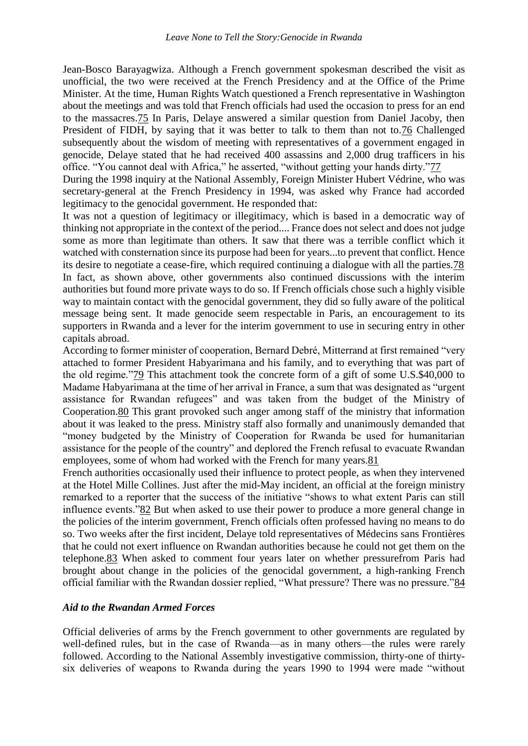Jean-Bosco Barayagwiza. Although a French government spokesman described the visit as unofficial, the two were received at the French Presidency and at the Office of the Prime Minister. At the time, Human Rights Watch questioned a French representative in Washington about the meetings and was told that French officials had used the occasion to press for an end to the massacres[.75](https://www.hrw.org/reports/1999/rwanda/Geno15-8-02.htm#P473_152478) In Paris, Delaye answered a similar question from Daniel Jacoby, then President of FIDH, by saying that it was better to talk to them than not to[.76](https://www.hrw.org/reports/1999/rwanda/Geno15-8-02.htm#P474_152764) Challenged subsequently about the wisdom of meeting with representatives of a government engaged in genocide, Delaye stated that he had received 400 assassins and 2,000 drug trafficers in his office. "You cannot deal with Africa," he asserted, "without getting your hands dirty.["77](https://www.hrw.org/reports/1999/rwanda/Geno15-8-02.htm#P475_153153)

During the 1998 inquiry at the National Assembly, Foreign Minister Hubert Védrine, who was secretary-general at the French Presidency in 1994, was asked why France had accorded legitimacy to the genocidal government. He responded that:

It was not a question of legitimacy or illegitimacy, which is based in a democratic way of thinking not appropriate in the context of the period.... France does not select and does not judge some as more than legitimate than others. It saw that there was a terrible conflict which it watched with consternation since its purpose had been for years...to prevent that conflict. Hence its desire to negotiate a cease-fire, which required continuing a dialogue with all the parties[.78](https://www.hrw.org/reports/1999/rwanda/Geno15-8-02.htm#P479_153970) In fact, as shown above, other governments also continued discussions with the interim authorities but found more private ways to do so. If French officials chose such a highly visible way to maintain contact with the genocidal government, they did so fully aware of the political message being sent. It made genocide seem respectable in Paris, an encouragement to its supporters in Rwanda and a lever for the interim government to use in securing entry in other capitals abroad.

According to former minister of cooperation, Bernard Debré, Mitterrand at first remained "very attached to former President Habyarimana and his family, and to everything that was part of the old regime.["79](https://www.hrw.org/reports/1999/rwanda/Geno15-8-02.htm#P483_154752) This attachment took the concrete form of a gift of some U.S.\$40,000 to Madame Habyarimana at the time of her arrival in France, a sum that was designated as "urgent assistance for Rwandan refugees" and was taken from the budget of the Ministry of Cooperation[.80](https://www.hrw.org/reports/1999/rwanda/Geno15-8-02.htm#P484_155071) This grant provoked such anger among staff of the ministry that information about it was leaked to the press. Ministry staff also formally and unanimously demanded that "money budgeted by the Ministry of Cooperation for Rwanda be used for humanitarian assistance for the people of the country" and deplored the French refusal to evacuate Rwandan employees, some of whom had worked with the French for many years[.81](https://www.hrw.org/reports/1999/rwanda/Geno15-8-02.htm#P485_155569)

French authorities occasionally used their influence to protect people, as when they intervened at the Hotel Mille Collines. Just after the mid-May incident, an official at the foreign ministry remarked to a reporter that the success of the initiative "shows to what extent Paris can still influence events.["82](https://www.hrw.org/reports/1999/rwanda/Geno15-8-02.htm#P487_155923) But when asked to use their power to produce a more general change in the policies of the interim government, French officials often professed having no means to do so. Two weeks after the first incident, Delaye told representatives of Médecins sans Frontières that he could not exert influence on Rwandan authorities because he could not get them on the telephone[.83](https://www.hrw.org/reports/1999/rwanda/Geno15-8-02.htm#P488_156371) When asked to comment four years later on whether pressurefrom Paris had brought about change in the policies of the genocidal government, a high-ranking French official familiar with the Rwandan dossier replied, "What pressure? There was no pressure.["84](https://www.hrw.org/reports/1999/rwanda/Geno15-8-02.htm#P489_156769)

## *Aid to the Rwandan Armed Forces*

Official deliveries of arms by the French government to other governments are regulated by well-defined rules, but in the case of Rwanda—as in many others—the rules were rarely followed. According to the National Assembly investigative commission, thirty-one of thirtysix deliveries of weapons to Rwanda during the years 1990 to 1994 were made "without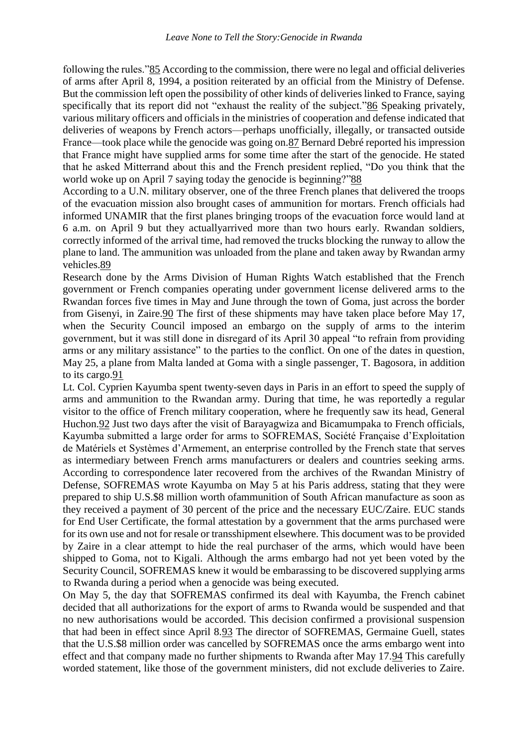following the rules.["85](https://www.hrw.org/reports/1999/rwanda/Geno15-8-02.htm#P493_157236) According to the commission, there were no legal and official deliveries of arms after April 8, 1994, a position reiterated by an official from the Ministry of Defense. But the commission left open the possibility of other kinds of deliveries linked to France, saying specifically that its report did not "exhaust the reality of the subject.["86](https://www.hrw.org/reports/1999/rwanda/Geno15-8-02.htm#P494_157665) Speaking privately, various military officers and officials in the ministries of cooperation and defense indicated that deliveries of weapons by French actors—perhaps unofficially, illegally, or transacted outside France—took place while the genocide was going on[.87](https://www.hrw.org/reports/1999/rwanda/Geno15-8-02.htm#P495_158006) Bernard Debré reported his impression that France might have supplied arms for some time after the start of the genocide. He stated that he asked Mitterrand about this and the French president replied, "Do you think that the world woke up on April 7 saying today the genocide is beginning?["88](https://www.hrw.org/reports/1999/rwanda/Geno15-8-02.htm#P496_158476)

According to a U.N. military observer, one of the three French planes that delivered the troops of the evacuation mission also brought cases of ammunition for mortars. French officials had informed UNAMIR that the first planes bringing troops of the evacuation force would land at 6 a.m. on April 9 but they actuallyarrived more than two hours early. Rwandan soldiers, correctly informed of the arrival time, had removed the trucks blocking the runway to allow the plane to land. The ammunition was unloaded from the plane and taken away by Rwandan army vehicles[.89](https://www.hrw.org/reports/1999/rwanda/Geno15-8-02.htm#P498_159139)

Research done by the Arms Division of Human Rights Watch established that the French government or French companies operating under government license delivered arms to the Rwandan forces five times in May and June through the town of Goma, just across the border from Gisenyi, in Zaire[.90](https://www.hrw.org/reports/1999/rwanda/Geno15-8-02.htm#P500_159909) The first of these shipments may have taken place before May 17, when the Security Council imposed an embargo on the supply of arms to the interim government, but it was still done in disregard of its April 30 appeal "to refrain from providing arms or any military assistance" to the parties to the conflict. On one of the dates in question, May 25, a plane from Malta landed at Goma with a single passenger, T. Bagosora, in addition to its cargo[.91](https://www.hrw.org/reports/1999/rwanda/Geno15-8-02.htm#P501_160426)

Lt. Col. Cyprien Kayumba spent twenty-seven days in Paris in an effort to speed the supply of arms and ammunition to the Rwandan army. During that time, he was reportedly a regular visitor to the office of French military cooperation, where he frequently saw its head, General Huchon[.92](https://www.hrw.org/reports/1999/rwanda/Geno15-8-02.htm#P503_160941) Just two days after the visit of Barayagwiza and Bicamumpaka to French officials, Kayumba submitted a large order for arms to SOFREMAS, Société Française d'Exploitation de Matériels et Systèmes d'Armement, an enterprise controlled by the French state that serves as intermediary between French arms manufacturers or dealers and countries seeking arms. According to correspondence later recovered from the archives of the Rwandan Ministry of Defense, SOFREMAS wrote Kayumba on May 5 at his Paris address, stating that they were prepared to ship U.S.\$8 million worth ofammunition of South African manufacture as soon as they received a payment of 30 percent of the price and the necessary EUC/Zaire. EUC stands for End User Certificate, the formal attestation by a government that the arms purchased were for its own use and not for resale or transshipment elsewhere. This document was to be provided by Zaire in a clear attempt to hide the real purchaser of the arms, which would have been shipped to Goma, not to Kigali. Although the arms embargo had not yet been voted by the Security Council, SOFREMAS knew it would be embarassing to be discovered supplying arms to Rwanda during a period when a genocide was being executed.

On May 5, the day that SOFREMAS confirmed its deal with Kayumba, the French cabinet decided that all authorizations for the export of arms to Rwanda would be suspended and that no new authorisations would be accorded. This decision confirmed a provisional suspension that had been in effect since April 8[.93](https://www.hrw.org/reports/1999/rwanda/Geno15-8-02.htm#P505_162523) The director of SOFREMAS, Germaine Guell, states that the U.S.\$8 million order was cancelled by SOFREMAS once the arms embargo went into effect and that company made no further shipments to Rwanda after May 17[.94](https://www.hrw.org/reports/1999/rwanda/Geno15-8-02.htm#P506_162832) This carefully worded statement, like those of the government ministers, did not exclude deliveries to Zaire.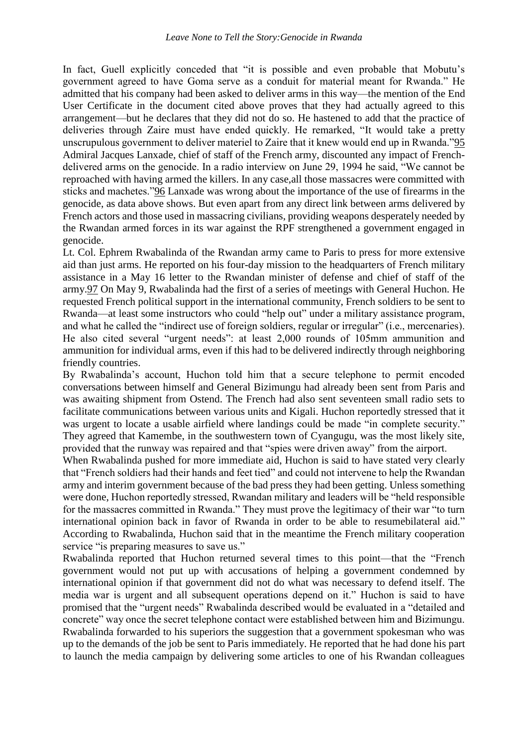In fact, Guell explicitly conceded that "it is possible and even probable that Mobutu's government agreed to have Goma serve as a conduit for material meant for Rwanda." He admitted that his company had been asked to deliver arms in this way—the mention of the End User Certificate in the document cited above proves that they had actually agreed to this arrangement—but he declares that they did not do so. He hastened to add that the practice of deliveries through Zaire must have ended quickly. He remarked, "It would take a pretty unscrupulous government to deliver materiel to Zaire that it knew would end up in Rwanda.["95](https://www.hrw.org/reports/1999/rwanda/Geno15-8-02.htm#P507_163666) Admiral Jacques Lanxade, chief of staff of the French army, discounted any impact of Frenchdelivered arms on the genocide. In a radio interview on June 29, 1994 he said, "We cannot be reproached with having armed the killers. In any case,all those massacres were committed with sticks and machetes.["96](https://www.hrw.org/reports/1999/rwanda/Geno15-8-02.htm#P509_164136) Lanxade was wrong about the importance of the use of firearms in the genocide, as data above shows. But even apart from any direct link between arms delivered by French actors and those used in massacring civilians, providing weapons desperately needed by the Rwandan armed forces in its war against the RPF strengthened a government engaged in genocide.

Lt. Col. Ephrem Rwabalinda of the Rwandan army came to Paris to press for more extensive aid than just arms. He reported on his four-day mission to the headquarters of French military assistance in a May 16 letter to the Rwandan minister of defense and chief of staff of the army[.97](https://www.hrw.org/reports/1999/rwanda/Geno15-8-02.htm#P511_164808) On May 9, Rwabalinda had the first of a series of meetings with General Huchon. He requested French political support in the international community, French soldiers to be sent to Rwanda—at least some instructors who could "help out" under a military assistance program, and what he called the "indirect use of foreign soldiers, regular or irregular" (i.e., mercenaries). He also cited several "urgent needs": at least 2,000 rounds of 105mm ammunition and ammunition for individual arms, even if this had to be delivered indirectly through neighboring friendly countries.

By Rwabalinda's account, Huchon told him that a secure telephone to permit encoded conversations between himself and General Bizimungu had already been sent from Paris and was awaiting shipment from Ostend. The French had also sent seventeen small radio sets to facilitate communications between various units and Kigali. Huchon reportedly stressed that it was urgent to locate a usable airfield where landings could be made "in complete security." They agreed that Kamembe, in the southwestern town of Cyangugu, was the most likely site, provided that the runway was repaired and that "spies were driven away" from the airport.

When Rwabalinda pushed for more immediate aid, Huchon is said to have stated very clearly that "French soldiers had their hands and feet tied" and could not intervene to help the Rwandan army and interim government because of the bad press they had been getting. Unless something were done, Huchon reportedly stressed, Rwandan military and leaders will be "held responsible for the massacres committed in Rwanda." They must prove the legitimacy of their war "to turn international opinion back in favor of Rwanda in order to be able to resumebilateral aid." According to Rwabalinda, Huchon said that in the meantime the French military cooperation service "is preparing measures to save us."

Rwabalinda reported that Huchon returned several times to this point—that the "French government would not put up with accusations of helping a government condemned by international opinion if that government did not do what was necessary to defend itself. The media war is urgent and all subsequent operations depend on it." Huchon is said to have promised that the "urgent needs" Rwabalinda described would be evaluated in a "detailed and concrete" way once the secret telephone contact were established between him and Bizimungu. Rwabalinda forwarded to his superiors the suggestion that a government spokesman who was up to the demands of the job be sent to Paris immediately. He reported that he had done his part to launch the media campaign by delivering some articles to one of his Rwandan colleagues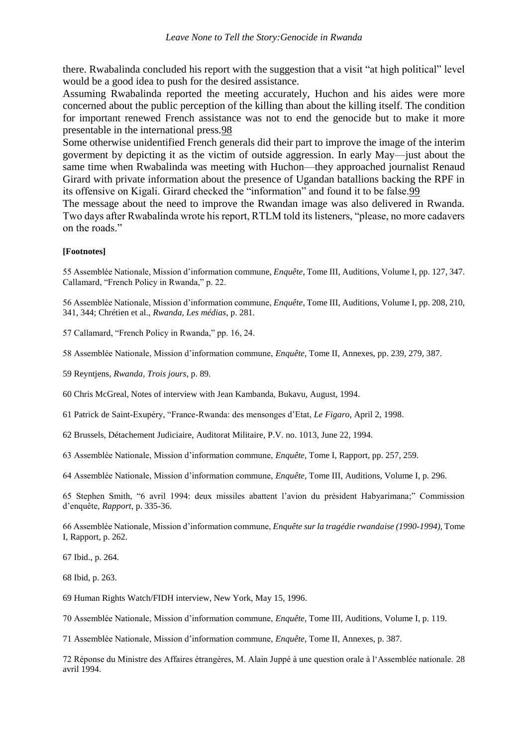there. Rwabalinda concluded his report with the suggestion that a visit "at high political" level would be a good idea to push for the desired assistance.

Assuming Rwabalinda reported the meeting accurately, Huchon and his aides were more concerned about the public perception of the killing than about the killing itself. The condition for important renewed French assistance was not to end the genocide but to make it more presentable in the international press[.98](https://www.hrw.org/reports/1999/rwanda/Geno15-8-02.htm#P517_168150)

Some otherwise unidentified French generals did their part to improve the image of the interim goverment by depicting it as the victim of outside aggression. In early May—just about the same time when Rwabalinda was meeting with Huchon—they approached journalist Renaud Girard with private information about the presence of Ugandan batallions backing the RPF in its offensive on Kigali. Girard checked the "information" and found it to be false[.99](https://www.hrw.org/reports/1999/rwanda/Geno15-8-02.htm#P519_169187)

The message about the need to improve the Rwandan image was also delivered in Rwanda. Two days after Rwabalinda wrote his report, RTLM told its listeners, "please, no more cadavers on the roads."

## **[Footnotes]**

55 Assemblée Nationale, Mission d'information commune, *Enquête*, Tome III, Auditions, Volume I, pp. 127, 347. Callamard, "French Policy in Rwanda," p. 22.

56 Assemblée Nationale, Mission d'information commune, *Enquête*, Tome III, Auditions, Volume I, pp. 208, 210, 341, 344; Chrétien et al., *Rwanda, Les médias*, p. 281.

57 Callamard, "French Policy in Rwanda," pp. 16, 24.

58 Assemblée Nationale, Mission d'information commune, *Enquête*, Tome II, Annexes, pp. 239, 279, 387.

59 Reyntjens, *Rwanda, Trois jours*, p. 89.

60 Chris McGreal, Notes of interview with Jean Kambanda, Bukavu, August, 1994.

61 Patrick de Saint-Exupéry, "France-Rwanda: des mensonges d'Etat, *Le Figaro,* April 2, 1998.

62 Brussels, Détachement Judiciaire, Auditorat Militaire, P.V. no. 1013, June 22, 1994.

63 Assemblée Nationale, Mission d'information commune, *Enquête,* Tome I, Rapport, pp. 257, 259.

64 Assemblée Nationale, Mission d'information commune, *Enquête,* Tome III, Auditions, Volume I, p. 296.

65 Stephen Smith, "6 avril 1994: deux missiles abattent l'avion du président Habyarimana;" Commission d'enquête, *Rapport*, p. 335-36.

66 Assemblée Nationale, Mission d'information commune, *Enquête sur la tragédie rwandaise (1990-1994),* Tome I, Rapport, p. 262.

67 Ibid., p. 264.

68 Ibid, p. 263.

69 Human Rights Watch/FIDH interview, New York, May 15, 1996.

70 Assemblée Nationale, Mission d'information commune, *Enquête,* Tome III, Auditions, Volume I, p. 119.

71 Assemblée Nationale, Mission d'information commune, *Enquête,* Tome II, Annexes, p. 387.

72 Réponse du Ministre des Affaires étrangères, M. Alain Juppé à une question orale à l'Assemblée nationale. 28 avril 1994.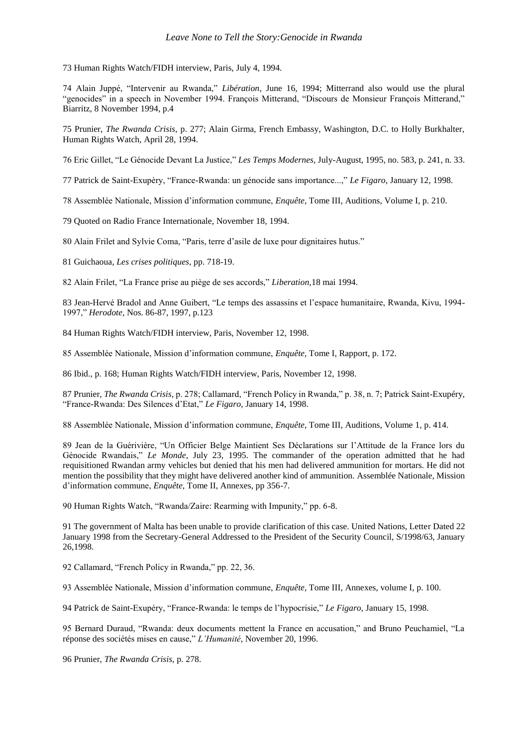73 Human Rights Watch/FIDH interview, Paris, July 4, 1994.

74 Alain Juppé, "Intervenir au Rwanda," *Libération*, June 16, 1994; Mitterrand also would use the plural "genocides" in a speech in November 1994. François Mitterand, "Discours de Monsieur François Mitterand," Biarritz, 8 November 1994, p.4

75 Prunier, *The Rwanda Crisis,* p. 277; Alain Girma, French Embassy, Washington, D.C. to Holly Burkhalter, Human Rights Watch, April 28, 1994.

76 Eric Gillet, "Le Génocide Devant La Justice," *Les Temps Modernes*, July-August, 1995, no. 583, p. 241, n. 33.

77 Patrick de Saint-Exupèry, "France-Rwanda: un génocide sans importance...," *Le Figaro*, January 12, 1998.

78 Assemblée Nationale, Mission d'information commune, *Enquête,* Tome III, Auditions, Volume I, p. 210.

79 Quoted on Radio France Internationale, November 18, 1994.

80 Alain Frilet and Sylvie Coma, "Paris, terre d'asile de luxe pour dignitaires hutus."

81 Guichaoua, *Les crises politiques*, pp. 718-19.

82 Alain Frilet, "La France prise au piège de ses accords," *Liberation,*18 mai 1994.

83 Jean-Hervé Bradol and Anne Guibert, "Le temps des assassins et l'espace humanitaire, Rwanda, Kivu, 1994- 1997," *Herodote*, Nos. 86-87, 1997, p.123

84 Human Rights Watch/FIDH interview, Paris, November 12, 1998.

85 Assemblée Nationale, Mission d'information commune, *Enquête,* Tome I, Rapport, p. 172.

86 Ibid., p. 168; Human Rights Watch/FIDH interview, Paris, November 12, 1998.

87 Prunier, *The Rwanda Crisis,* p. 278; Callamard, "French Policy in Rwanda," p. 38, n. 7; Patrick Saint-Exupéry, "France-Rwanda: Des Silences d'Etat," *Le Figaro,* January 14, 1998.

88 Assemblée Nationale, Mission d'information commune, *Enquête,* Tome III, Auditions, Volume 1, p. 414.

89 Jean de la Guérivière, "Un Officier Belge Maintient Ses Déclarations sur l'Attitude de la France lors du Génocide Rwandais," *Le Monde*, July 23, 1995. The commander of the operation admitted that he had requisitioned Rwandan army vehicles but denied that his men had delivered ammunition for mortars. He did not mention the possibility that they might have delivered another kind of ammunition. Assemblée Nationale, Mission d'information commune, *Enquête,* Tome II, Annexes, pp 356-7.

90 Human Rights Watch, "Rwanda/Zaire: Rearming with Impunity," pp. 6-8.

91 The government of Malta has been unable to provide clarification of this case. United Nations, Letter Dated 22 January 1998 from the Secretary-General Addressed to the President of the Security Council, S/1998/63, January 26,1998.

92 Callamard, "French Policy in Rwanda," pp. 22, 36.

93 Assemblée Nationale, Mission d'information commune, *Enquête,* Tome III, Annexes, volume I, p. 100.

94 Patrick de Saint-Exupéry, "France-Rwanda: le temps de l'hypocrisie," *Le Figaro,* January 15, 1998.

95 Bernard Duraud, "Rwanda: deux documents mettent la France en accusation," and Bruno Peuchamiel, "La réponse des sociétés mises en cause," *L'Humanité*, November 20, 1996.

96 Prunier, *The Rwanda Crisis,* p. 278.